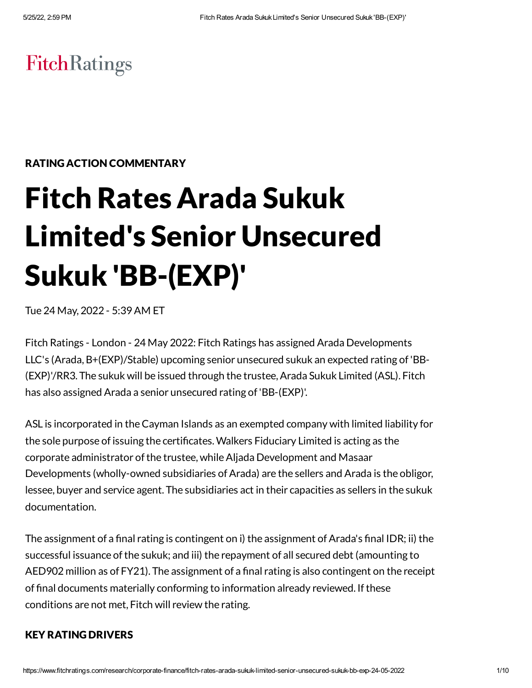## **FitchRatings**

### RATING ACTION COMMENTARY

# Fitch Rates Arada Sukuk Limited's Senior Unsecured Sukuk 'BB-(EXP)'

Tue 24 May, 2022 - 5:39AM ET

Fitch Ratings - London - 24 May 2022: Fitch Ratings has assigned Arada Developments LLC's (Arada, B+(EXP)/Stable) upcoming senior unsecured sukuk an expected rating of'BB- (EXP)'/RR3. The sukuk will be issued through the trustee,Arada Sukuk Limited (ASL). Fitch has also assigned Arada a senior unsecured rating of'BB-(EXP)'.

ASL is incorporated in theCayman Islands as an exempted company with limited liability for the sole purpose of issuing the certificates. Walkers Fiduciary Limited is acting as the corporate administrator of the trustee, while Aljada Development and Masaar Developments (wholly-owned subsidiaries of Arada) are the sellers and Arada is the obligor, lessee, buyer and service agent. The subsidiaries act in their capacities as sellers in the sukuk documentation.

The assignment of a final rating is contingent on i) the assignment of Arada's final IDR; ii) the successful issuance of the sukuk; and iii) the repayment of all secured debt (amounting to AED902 million as of FY21). The assignment of a final rating is also contingent on the receipt of final documents materially conforming to information already reviewed. Ifthese conditions are not met, Fitch will review the rating.

#### KEY RATING DRIVERS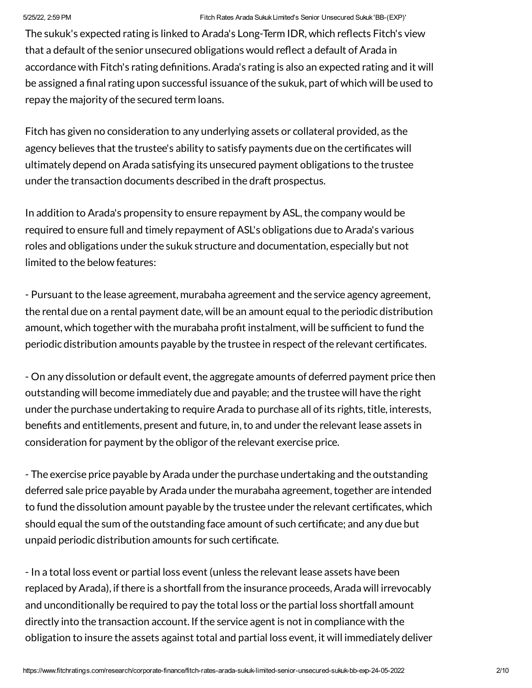The sukuk's expected rating is linked to Arada's Long-Term IDR, which reflects Fitch's view that a default of the senior unsecured obligations would reflect a default of Arada in accordance with Fitch's rating definitions.Arada's rating is also an expected rating and it will be assigned a final rating upon successful issuance ofthe sukuk, part of which will be used to repay the majority of the secured term loans.

Fitch has given no consideration to any underlying assets or collateral provided, as the agency believes that the trustee's ability to satisfy payments due on the certificates will ultimately depend on Arada satisfying its unsecured payment obligations to the trustee under the transaction documents described in the draft prospectus.

In addition to Arada's propensity to ensure repayment by ASL, the company would be required to ensure full and timely repayment of ASL's obligations due to Arada's various roles and obligations under the sukuk structure and documentation, especially but not limited to the below features:

- Pursuant to the lease agreement, murabaha agreement and the service agency agreement, the rental due on a rental payment date, will be an amount equal to the periodic distribution amount, which together with the murabaha profit instalment, will be sufficient to fund the periodic distribution amounts payable by the trustee in respect of the relevant certificates.

- On any dissolution or default event, the aggregate amounts of deferred payment price then outstanding will become immediately due and payable; and the trustee will have the right under the purchase undertaking to require Arada to purchase all of its rights, title, interests, benefits and entitlements, present and future, in,to and under the relevant lease assets in consideration for payment by the obligor of the relevant exercise price.

- The exercise price payable by Arada under the purchase undertaking and the outstanding deferred sale price payable by Arada under the murabaha agreement, together are intended to fund the dissolution amount payable by the trustee under the relevant certificates, which should equal the sum of the outstanding face amount of such certificate; and any due but unpaid periodic distribution amounts for such certificate.

- In a total loss event or partial loss event (unless the relevant lease assets have been replaced by Arada), if there is a shortfall from the insurance proceeds, Arada will irrevocably and unconditionally be required to pay the total loss or the partial loss shortfall amount directly into the transaction account. If the service agent is not in compliance with the obligation to insure the assets against total and partial loss event, it will immediately deliver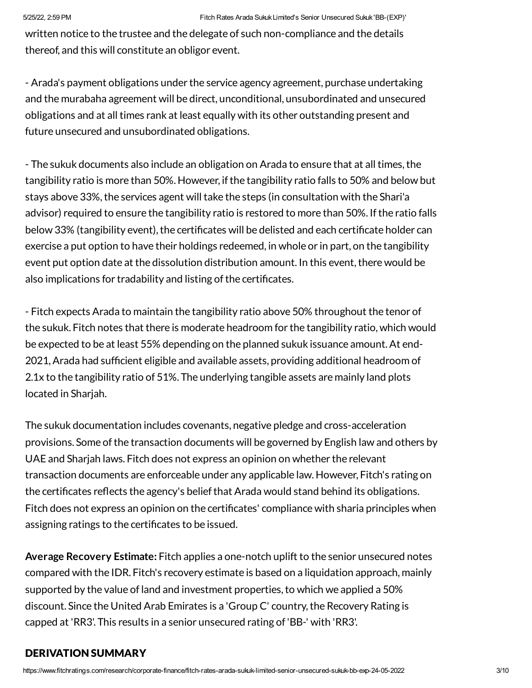written notice to the trustee and the delegate of such non-compliance and the details thereof, and this will constitute an obligor event.

- Arada's payment obligations under the service agency agreement, purchase undertaking and the murabaha agreement will be direct, unconditional, unsubordinated and unsecured obligations and at all times rank at least equally with its other outstanding present and future unsecured and unsubordinated obligations.

- The sukuk documents also include an obligation on Arada to ensure that at all times, the tangibility ratio is more than 50%. However, if the tangibility ratio falls to 50% and below but stays above 33%, the services agent will take the steps (in consultation with the Shari'a advisor) required to ensure the tangibility ratio is restored to more than 50%. If the ratio falls below 33% (tangibility event), the certificates will be delisted and each certificate holder can exercise a put option to have their holdings redeemed, in whole or in part, on the tangibility event put option date at the dissolution distribution amount. In this event, there would be also implications for tradability and listing of the certificates.

- Fitch expects Arada to maintain the tangibility ratio above 50% throughout the tenor of the sukuk. Fitch notes that there is moderate headroom for the tangibility ratio, which would be expected to be at least 55% depending on the planned sukuk issuance amount.At end-2021,Arada had sufficient eligible and available assets, providing additional headroom of 2.1x to the tangibility ratio of 51%. The underlying tangible assets are mainly land plots located in Sharjah.

The sukuk documentation includes covenants, negative pledge and cross-acceleration provisions. Some ofthe transaction documents will be governed by English law and others by UAE and Sharjah laws. Fitch does not express an opinion on whether the relevant transaction documents are enforceable under any applicable law. However, Fitch's rating on the certificates reflects the agency's beliefthat Arada would stand behind its obligations. Fitch does not express an opinion on the certificates' compliance with sharia principles when assigning ratings to the certificates to be issued.

**Average Recovery Estimate:** Fitch applies a one-notch uplift to the senior unsecured notes compared with the IDR. Fitch's recovery estimate is based on a liquidation approach, mainly supported by the value of land and investment properties, to which we applied a 50% discount. Since the United Arab Emirates is a 'Group C' country,the Recovery Rating is capped at 'RR3'. This results in a senior unsecured rating of'BB-' with 'RR3'.

#### DERIVATION SUMMARY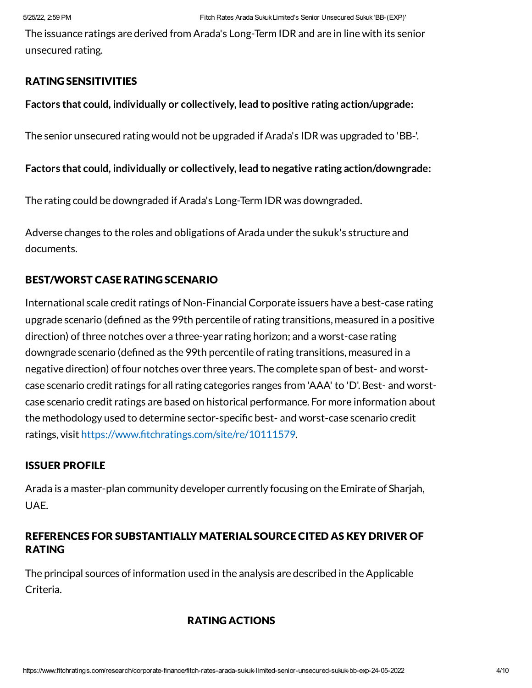The issuance ratings are derived from Arada's Long-Term IDR and are in line with its senior unsecured rating.

#### RATING SENSITIVITIES

**Factors that could, individually or collectively, lead to positive rating action/upgrade:**

The senior unsecured rating would not be upgraded if Arada's IDR was upgraded to 'BB-'.

**Factors that could, individually or collectively, lead to negative rating action/downgrade:**

The rating could be downgraded if Arada's Long-Term IDR was downgraded.

Adverse changes to the roles and obligations of Arada under the sukuk's structure and documents.

#### BEST/WORST CASE RATING SCENARIO

International scale credit ratings of Non-Financial Corporate issuers have a best-case rating upgrade scenario (defined as the 99th percentile of rating transitions, measured in a positive direction) of three notches over a three-year rating horizon; and a worst-case rating downgrade scenario (defined as the 99th percentile of rating transitions, measured in a negative direction) offour notches over three years. The complete span of best- and worstcase scenario credit ratings for all rating categories ranges from 'AAA' to 'D'. Best- and worstcase scenario credit ratings are based on historical performance. For more information about the methodology used to determine sector-specific best- and worst-case scenario credit ratings, visit <https://www.fitchratings.com/site/re/10111579>.

#### ISSUER PROFILE

Arada is a master-plan community developer currently focusing on the Emirate of Sharjah, UAE.

#### REFERENCES FOR SUBSTANTIALLY MATERIAL SOURCE CITED AS KEY DRIVER OF RATING

The principal sources of information used in the analysis are described in the Applicable Criteria.

#### RATING ACTIONS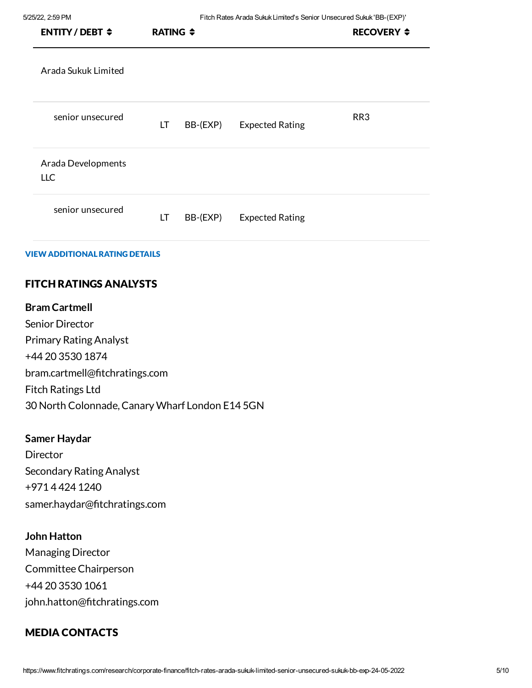| 5/25/22, 2:59 PM<br><b>ENTITY / DEBT <math>\div</math></b> | <b>RATING <math>\div</math></b> |          |                        | Fitch Rates Arada Sukuk Limited's Senior Unsecured Sukuk 'BB-(EXP)'<br><b>RECOVERY ≑</b> |
|------------------------------------------------------------|---------------------------------|----------|------------------------|------------------------------------------------------------------------------------------|
| Arada Sukuk Limited                                        |                                 |          |                        |                                                                                          |
| senior unsecured                                           | LT                              | BB-(EXP) | <b>Expected Rating</b> | RR <sub>3</sub>                                                                          |
| Arada Developments<br>LLC                                  |                                 |          |                        |                                                                                          |
| senior unsecured                                           | LT                              | BB-(EXP) | <b>Expected Rating</b> |                                                                                          |
| <b>VIEW ADDITIONAL RATING DETAILS</b>                      |                                 |          |                        |                                                                                          |
| <b>FITCH RATINGS ANALYSTS</b>                              |                                 |          |                        |                                                                                          |
| <b>Bram Cartmell</b>                                       |                                 |          |                        |                                                                                          |
| Senior Director                                            |                                 |          |                        |                                                                                          |
| <b>Primary Rating Analyst</b>                              |                                 |          |                        |                                                                                          |
| +44 20 3530 1874                                           |                                 |          |                        |                                                                                          |
| bram.cartmell@fitchratings.com                             |                                 |          |                        |                                                                                          |
| <b>Fitch Ratings Ltd</b>                                   |                                 |          |                        |                                                                                          |
| 30 North Colonnade, Canary Wharf London E14 5GN            |                                 |          |                        |                                                                                          |
| Samer Haydar                                               |                                 |          |                        |                                                                                          |
| Director                                                   |                                 |          |                        |                                                                                          |
| Secondary Rating Analyst                                   |                                 |          |                        |                                                                                          |
| +97144241240                                               |                                 |          |                        |                                                                                          |
| samer.haydar@fitchratings.com                              |                                 |          |                        |                                                                                          |
| <b>John Hatton</b>                                         |                                 |          |                        |                                                                                          |
| Managing Director                                          |                                 |          |                        |                                                                                          |
| Committee Chairperson                                      |                                 |          |                        |                                                                                          |
| +44 20 3530 1061                                           |                                 |          |                        |                                                                                          |

john.hatton@fitchratings.com

MEDIA CONTACTS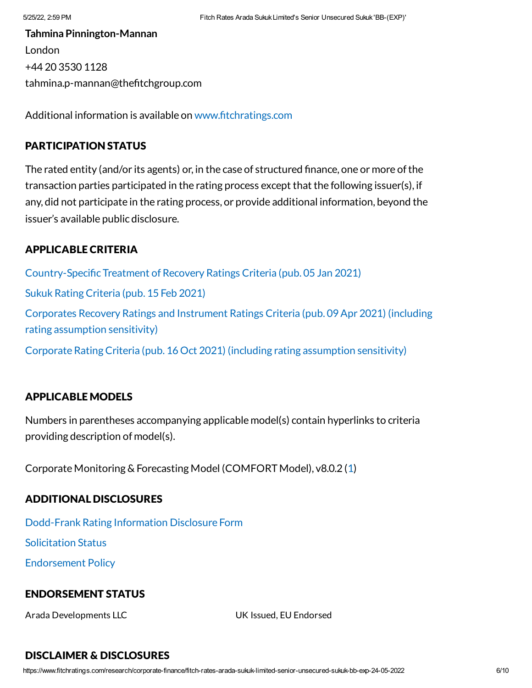**Tahmina Pinnington-Mannan** London +44 20 3530 1128 tahmina.p-mannan@thefitchgroup.com

Additional information is available on [www.fitchratings.com](http://www.fitchratings.com/)

#### PARTICIPATION STATUS

The rated entity (and/or its agents) or, in the case of structured finance, one or more of the transaction parties participated in the rating process except that the following issuer(s), if any, did not participate in the rating process, or provide additional information, beyond the issuer's available public disclosure.

#### APPLICABLE CRITERIA

[Country-Specific](https://www.fitchratings.com/research/corporate-finance/country-specific-treatment-of-recovery-ratings-criteria-05-01-2021) Treatment of Recovery Ratings Criteria (pub. 05 Jan 2021)

Sukuk Rating [Criteria](https://www.fitchratings.com/research/islamic-finance/sukuk-rating-criteria-15-02-2021) (pub. 15 Feb 2021)

Corporates Recovery Ratings and Instrument Ratings Criteria (pub. 09 Apr 2021) (including rating [assumption](https://www.fitchratings.com/research/corporate-finance/corporates-recovery-ratings-instrument-ratings-criteria-09-04-2021) sensitivity)

Corporate Rating Criteria (pub. 16 Oct 2021) (including rating [assumption](https://www.fitchratings.com/research/corporate-finance/corporate-rating-criteria-15-10-2021) sensitivity)

#### APPLICABLE MODELS

Numbers in parentheses accompanying applicable model(s) contain hyperlinks to criteria providing description of model(s).

Corporate Monitoring & Forecasting Model (COMFORT Model), v8.0.2 [\(1](https://www.fitchratings.com/research/corporate-finance/corporate-rating-criteria-15-10-2021))

#### ADDITIONAL DISCLOSURES

[Dodd-Frank](https://www.fitchratings.com/research/corporate-finance/fitch-rates-arada-sukuk-limited-senior-unsecured-sukuk-bb-exp-24-05-2022/dodd-frank-disclosure) Rating Information Disclosure Form

Solicitation Status

[Endorsement](#page-8-0) Policy

#### ENDORSEMENT STATUS

Arada Developments LLC North Controller Controller UK Issued, EU Endorsed

#### DISCLAIMER & DISCLOSURES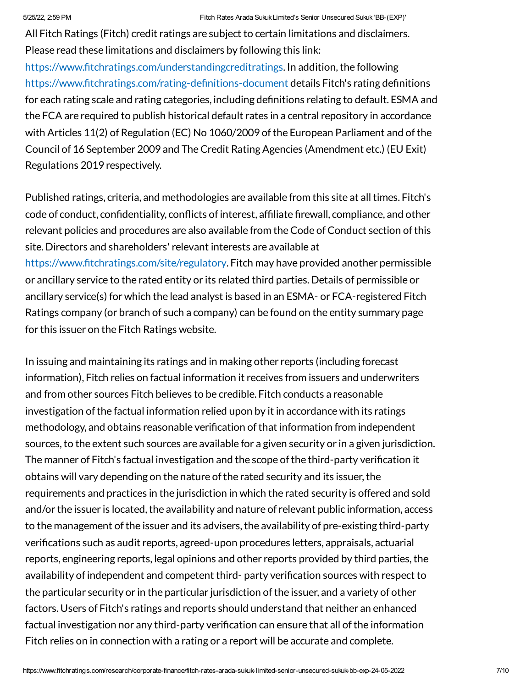All Fitch Ratings (Fitch) credit ratings are subject to certain limitations and disclaimers. Please read these limitations and disclaimers by following this link:

[https://www.fitchratings.com/understandingcreditratings](https://www.fitchratings.com/UNDERSTANDINGCREDITRATINGS). In addition, the following [https://www.fitchratings.com/rating-definitions-document](https://www.fitchratings.com/RATING-DEFINITIONS-DOCUMENT) details Fitch's rating definitions for each rating scale and rating categories, including definitions relating to default. ESMA and the FCA are required to publish historical default rates in a central repository in accordance with Articles 11(2) of Regulation (EC) No 1060/2009 of the European Parliament and of the Council of 16 September 2009 and TheCredit Rating Agencies (Amendment etc.) (EU Exit) Regulations 2019 respectively.

Published ratings, criteria, and methodologies are available from this site at all times. Fitch's code of conduct, confidentiality, conflicts of interest, affiliate firewall, compliance, and other relevant policies and procedures are also available from the Code of Conduct section of this site. Directors and shareholders' relevant interests are available at [https://www.fitchratings.com/site/regulatory.](https://www.fitchratings.com/SITE/REGULATORY) Fitch may have provided another permissible or ancillary service to the rated entity or its related third parties. Details of permissible or ancillary service(s) for which the lead analyst is based in an ESMA- or FCA-registered Fitch Ratings company (or branch of such a company) can be found on the entity summary page for this issuer on the Fitch Ratings website.

In issuing and maintaining its ratings and in making other reports (including forecast information), Fitch relies on factual information it receives from issuers and underwriters and from other sources Fitch believes to be credible. Fitch conducts a reasonable investigation of the factual information relied upon by it in accordance with its ratings methodology, and obtains reasonable verification ofthat information from independent sources, to the extent such sources are available for a given security or in a given jurisdiction. The manner of Fitch's factual investigation and the scope ofthe third-party verification it obtains will vary depending on the nature of the rated security and its issuer, the requirements and practices in the jurisdiction in which the rated security is offered and sold and/or the issuer is located, the availability and nature of relevant public information, access to the management of the issuer and its advisers, the availability of pre-existing third-party verifications such as audit reports, agreed-upon procedures letters, appraisals, actuarial reports, engineering reports, legal opinions and other reports provided by third parties, the availability ofindependent and competent third- party verification sources with respect to the particular security or in the particular jurisdiction ofthe issuer, and a variety of other factors. Users of Fitch's ratings and reports should understand that neither an enhanced factual investigation nor any third-party verification can ensure that all of the information Fitch relies on in connection with a rating or a report will be accurate and complete.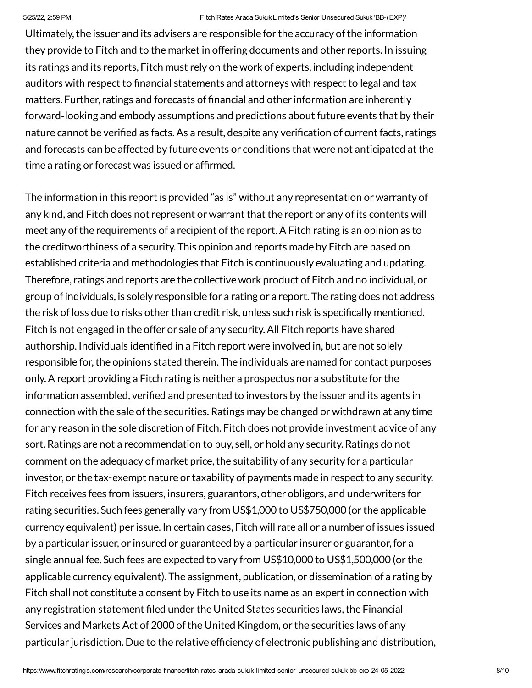Ultimately, the issuer and its advisers are responsible for the accuracy of the information they provide to Fitch and to the market in offering documents and other reports. In issuing its ratings and its reports, Fitch must rely on the work of experts, including independent auditors with respect to financial statements and attorneys with respect to legal and tax matters. Further, ratings and forecasts of financial and other information are inherently forward-looking and embody assumptions and predictions about future events that by their nature cannot be verified as facts. As a result, despite any verification of current facts, ratings and forecasts can be affected by future events or conditions that were not anticipated at the time a rating or forecast was issued or affirmed.

The information in this report is provided "as is" without any representation or warranty of any kind, and Fitch does not represent or warrant that the report or any of its contents will meet any of the requirements of a recipient of the report. A Fitch rating is an opinion as to the creditworthiness of a security. This opinion and reports made by Fitch are based on established criteria and methodologies that Fitch is continuously evaluating and updating. Therefore, ratings and reports are the collective work product of Fitch and no individual, or group of individuals, is solely responsible for a rating or a report. The rating does not address the risk ofloss due to risks other than credit risk, unless such risk is specifically mentioned. Fitch is not engaged in the offer or sale of any security.All Fitch reports have shared authorship. Individuals identified in a Fitch report were involved in, but are not solely responsible for, the opinions stated therein. The individuals are named for contact purposes only.A report providing a Fitch rating is neither a prospectus nor a substitute for the information assembled, verified and presented to investors by the issuer and its agents in connection with the sale of the securities. Ratings may be changed or withdrawn at any time for any reason in the sole discretion of Fitch. Fitch does not provide investment advice of any sort. Ratings are not a recommendation to buy, sell, or hold any security. Ratings do not comment on the adequacy of market price, the suitability of any security for a particular investor, or the tax-exempt nature or taxability of payments made in respect to any security. Fitch receives fees from issuers, insurers, guarantors, other obligors, and underwriters for rating securities. Such fees generally vary from US\$1,000 to US\$750,000 (or the applicable currency equivalent) per issue. In certain cases, Fitch will rate all or a number of issues issued by a particular issuer, or insured or guaranteed by a particular insurer or guarantor, for a single annual fee. Such fees are expected to vary from US\$10,000 to US\$1,500,000 (or the applicable currency equivalent). The assignment, publication, or dissemination of a rating by Fitch shall not constitute a consent by Fitch to use its name as an expert in connection with any registration statement filed under the United States securities laws, the Financial Services and Markets Act of 2000 of the United Kingdom, or the securities laws of any particular jurisdiction. Due to the relative efficiency of electronic publishing and distribution,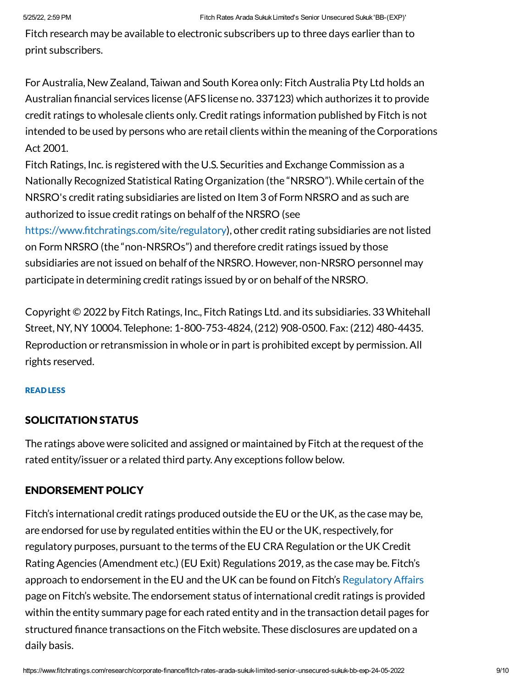Fitch research may be available to electronic subscribers up to three days earlier than to print subscribers.

For Australia, New Zealand, Taiwan and South Korea only: Fitch Australia Pty Ltd holds an Australian financial services license (AFS license no. 337123) which authorizes it to provide credit ratings to wholesale clients only.Credit ratings information published by Fitch is not intended to be used by persons who are retail clients within the meaning of the Corporations Act 2001.

Fitch Ratings, Inc. is registered with the U.S. Securities and Exchange Commission as a Nationally Recognized Statistical Rating Organization (the "NRSRO").While certain ofthe NRSRO's credit rating subsidiaries are listed on Item 3 of Form NRSRO and as such are authorized to issue credit ratings on behalf of the NRSRO (see

[https://www.fitchratings.com/site/regulatory\)](https://www.fitchratings.com/site/regulatory), other credit rating subsidiaries are not listed on Form NRSRO (the "non-NRSROs") and therefore credit ratings issued by those subsidiaries are not issued on behalf of the NRSRO. However, non-NRSRO personnel may participate in determining credit ratings issued by or on behalf ofthe NRSRO.

Copyright © 2022 by Fitch Ratings, Inc., Fitch Ratings Ltd. and its subsidiaries. 33 Whitehall Street, NY, NY 10004. Telephone: 1-800-753-4824, (212) 908-0500. Fax: (212) 480-4435. Reproduction or retransmission in whole or in part is prohibited except by permission.All rights reserved.

#### READ LESS

#### SOLICITATION STATUS

The ratings above were solicited and assigned or maintained by Fitch at the request of the rated entity/issuer or a related third party.Any exceptions follow below.

#### <span id="page-8-0"></span>ENDORSEMENT POLICY

Fitch's international credit ratings produced outside the EU or the UK, as the case may be, are endorsed for use by regulated entities within the EU or the UK, respectively,for regulatory purposes, pursuant to the terms of the EU CRA Regulation or the UK Credit Rating Agencies (Amendment etc.) (EU Exit) Regulations 2019, as the case may be. Fitch's approach to endorsement in the EU and the UK can be found on Fitch's [Regulatory](https://www.fitchratings.com/regulatory) Affairs page on Fitch's website. The endorsement status ofinternational credit ratings is provided within the entity summary page for each rated entity and in the transaction detail pages for structured finance transactions on the Fitch website. These disclosures are updated on a daily basis.